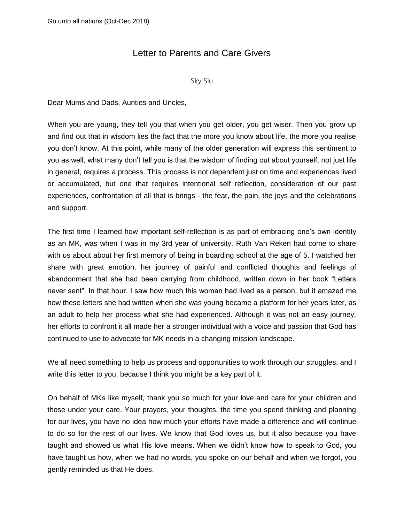## Letter to Parents and Care Givers

Sky Siu

Dear Mums and Dads, Aunties and Uncles,

When you are young, they tell you that when you get older, you get wiser. Then you grow up and find out that in wisdom lies the fact that the more you know about life, the more you realise you don't know. At this point, while many of the older generation will express this sentiment to you as well, what many don't tell you is that the wisdom of finding out about yourself, not just life in general, requires a process. This process is not dependent just on time and experiences lived or accumulated, but one that requires intentional self reflection, consideration of our past experiences, confrontation of all that is brings - the fear, the pain, the joys and the celebrations and support.

The first time I learned how important self-reflection is as part of embracing one's own identity as an MK, was when I was in my 3rd year of university. Ruth Van Reken had come to share with us about about her first memory of being in boarding school at the age of 5. I watched her share with great emotion, her journey of painful and conflicted thoughts and feelings of abandonment that she had been carrying from childhood, written down in her book "Letters never sent". In that hour, I saw how much this woman had lived as a person, but it amazed me how these letters she had written when she was young became a platform for her years later, as an adult to help her process what she had experienced. Although it was not an easy journey, her efforts to confront it all made her a stronger individual with a voice and passion that God has continued to use to advocate for MK needs in a changing mission landscape.

We all need something to help us process and opportunities to work through our struggles, and I write this letter to you, because I think you might be a key part of it.

On behalf of MKs like myself, thank you so much for your love and care for your children and those under your care. Your prayers, your thoughts, the time you spend thinking and planning for our lives, you have no idea how much your efforts have made a difference and will continue to do so for the rest of our lives. We know that God loves us, but it also because you have taught and showed us what His love means. When we didn't know how to speak to God, you have taught us how, when we had no words, you spoke on our behalf and when we forgot, you gently reminded us that He does.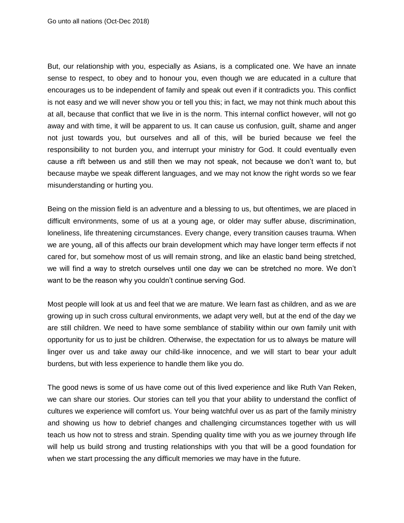But, our relationship with you, especially as Asians, is a complicated one. We have an innate sense to respect, to obey and to honour you, even though we are educated in a culture that encourages us to be independent of family and speak out even if it contradicts you. This conflict is not easy and we will never show you or tell you this; in fact, we may not think much about this at all, because that conflict that we live in is the norm. This internal conflict however, will not go away and with time, it will be apparent to us. It can cause us confusion, guilt, shame and anger not just towards you, but ourselves and all of this, will be buried because we feel the responsibility to not burden you, and interrupt your ministry for God. It could eventually even cause a rift between us and still then we may not speak, not because we don't want to, but because maybe we speak different languages, and we may not know the right words so we fear misunderstanding or hurting you.

Being on the mission field is an adventure and a blessing to us, but oftentimes, we are placed in difficult environments, some of us at a young age, or older may suffer abuse, discrimination, loneliness, life threatening circumstances. Every change, every transition causes trauma. When we are young, all of this affects our brain development which may have longer term effects if not cared for, but somehow most of us will remain strong, and like an elastic band being stretched, we will find a way to stretch ourselves until one day we can be stretched no more. We don't want to be the reason why you couldn't continue serving God.

Most people will look at us and feel that we are mature. We learn fast as children, and as we are growing up in such cross cultural environments, we adapt very well, but at the end of the day we are still children. We need to have some semblance of stability within our own family unit with opportunity for us to just be children. Otherwise, the expectation for us to always be mature will linger over us and take away our child-like innocence, and we will start to bear your adult burdens, but with less experience to handle them like you do.

The good news is some of us have come out of this lived experience and like Ruth Van Reken, we can share our stories. Our stories can tell you that your ability to understand the conflict of cultures we experience will comfort us. Your being watchful over us as part of the family ministry and showing us how to debrief changes and challenging circumstances together with us will teach us how not to stress and strain. Spending quality time with you as we journey through life will help us build strong and trusting relationships with you that will be a good foundation for when we start processing the any difficult memories we may have in the future.